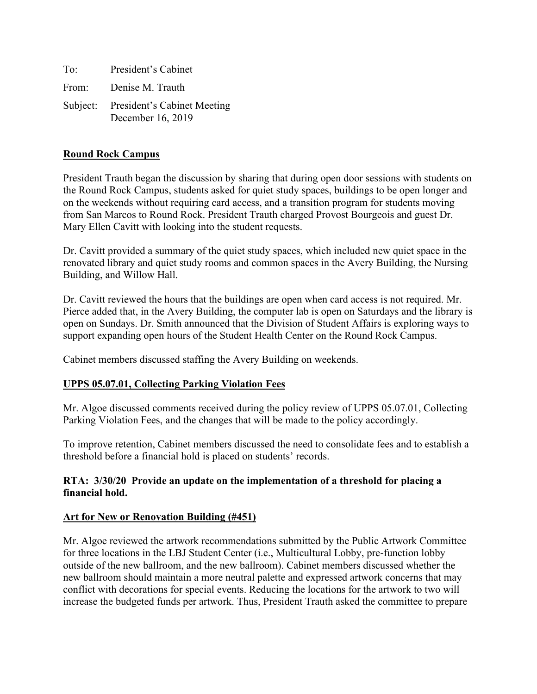To: President's Cabinet From: Denise M. Trauth Subject: President's Cabinet Meeting December 16, 2019

#### **Round Rock Campus**

President Trauth began the discussion by sharing that during open door sessions with students on the Round Rock Campus, students asked for quiet study spaces, buildings to be open longer and on the weekends without requiring card access, and a transition program for students moving from San Marcos to Round Rock. President Trauth charged Provost Bourgeois and guest Dr. Mary Ellen Cavitt with looking into the student requests.

Dr. Cavitt provided a summary of the quiet study spaces, which included new quiet space in the renovated library and quiet study rooms and common spaces in the Avery Building, the Nursing Building, and Willow Hall.

Dr. Cavitt reviewed the hours that the buildings are open when card access is not required. Mr. Pierce added that, in the Avery Building, the computer lab is open on Saturdays and the library is open on Sundays. Dr. Smith announced that the Division of Student Affairs is exploring ways to support expanding open hours of the Student Health Center on the Round Rock Campus.

Cabinet members discussed staffing the Avery Building on weekends.

### **UPPS 05.07.01, Collecting Parking Violation Fees**

Mr. Algoe discussed comments received during the policy review of UPPS 05.07.01, Collecting Parking Violation Fees, and the changes that will be made to the policy accordingly.

To improve retention, Cabinet members discussed the need to consolidate fees and to establish a threshold before a financial hold is placed on students' records.

### **RTA: 3/30/20 Provide an update on the implementation of a threshold for placing a financial hold.**

#### **Art for New or Renovation Building (#451)**

Mr. Algoe reviewed the artwork recommendations submitted by the Public Artwork Committee for three locations in the LBJ Student Center (i.e., Multicultural Lobby, pre-function lobby outside of the new ballroom, and the new ballroom). Cabinet members discussed whether the new ballroom should maintain a more neutral palette and expressed artwork concerns that may conflict with decorations for special events. Reducing the locations for the artwork to two will increase the budgeted funds per artwork. Thus, President Trauth asked the committee to prepare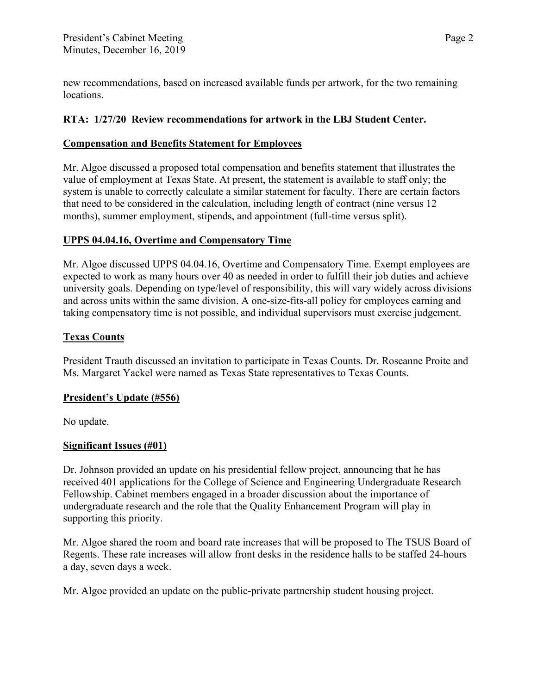new recommendations, based on increased available funds per artwork, for the two remaining locations.

## **RTA: 1/27/20 Review recommendations for artwork in the LBJ Student Center.**

### **Compensation and Benefits Statement for Employees**

Mr. Algoe discussed a proposed total compensation and benefits statement that illustrates the value of employment at Texas State. At present, the statement is available to staff only; the system is unable to correctly calculate a similar statement for faculty. There are certain factors that need to be considered in the calculation, including length of contract (nine versus 12 months), summer employment, stipends, and appointment (full-time versus split).

# **UPPS 04.04.16, Overtime and Compensatory Time**

Mr. Algoe discussed UPPS 04.04.16, Overtime and Compensatory Time. Exempt employees are expected to work as many hours over 40 as needed in order to fulfill their job duties and achieve university goals. Depending on type/level of responsibility, this will vary widely across divisions and across units within the same division. A one-size-fits-all policy for employees earning and taking compensatory time is not possible, and individual supervisors must exercise judgement.

# **Texas Counts**

President Trauth discussed an invitation to participate in Texas Counts. Dr. Roseanne Proite and Ms. Margaret Yackel were named as Texas State representatives to Texas Counts.

### **President's Update (#556)**

No update.

### **Significant Issues (#01)**

Dr. Johnson provided an update on his presidential fellow project, announcing that he has received 401 applications for the College of Science and Engineering Undergraduate Research Fellowship. Cabinet members engaged in a broader discussion about the importance of undergraduate research and the role that the Quality Enhancement Program will play in supporting this priority.

Mr. Algoe shared the room and board rate increases that will be proposed to The TSUS Board of Regents. These rate increases will allow front desks in the residence halls to be staffed 24-hours a day, seven days a week.

Mr. Algoe provided an update on the public-private partnership student housing project.